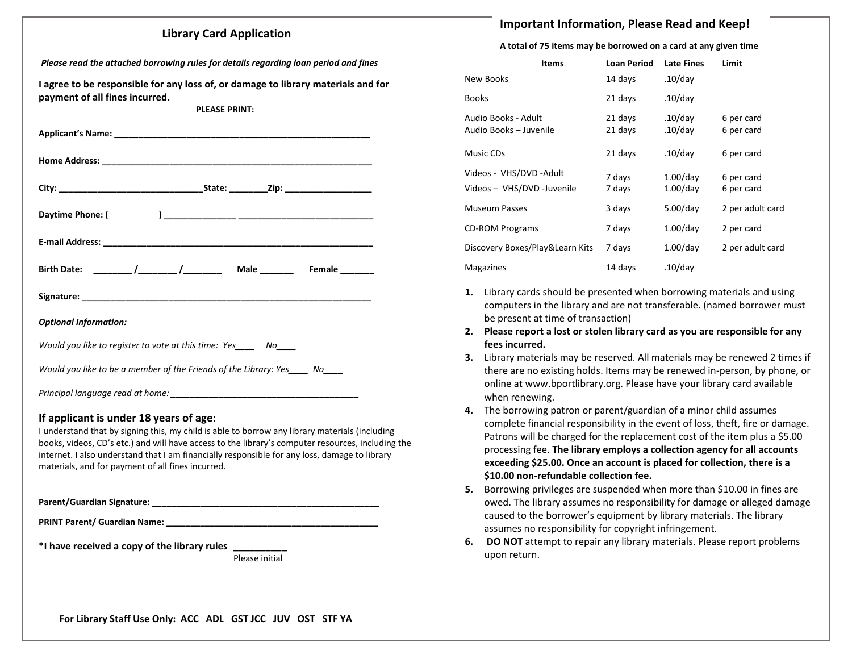### **Library Card Application**

*Please read the attached borrowing rules for details regarding loan period and fines*

**I agree to be responsible for any loss of, or damage to library materials and for payment of all fines incurred.**

**PLEASE PRINT:**

| Birth Date: _______/________/_________ Male ________ Female _______         |  |  |  |  |
|-----------------------------------------------------------------------------|--|--|--|--|
|                                                                             |  |  |  |  |
| <b>Optional Information:</b>                                                |  |  |  |  |
| Would you like to register to vote at this time: Yes_____ No____            |  |  |  |  |
| Would you like to be a member of the Friends of the Library: Yes____ No____ |  |  |  |  |
| Principal language read at home:                                            |  |  |  |  |

### **If applicant is under 18 years of age:**

I understand that by signing this, my child is able to borrow any library materials (including books, videos, CD's etc.) and will have access to the library's computer resources, including the internet. I also understand that I am financially responsible for any loss, damage to library materials, and for payment of all fines incurred.

**Parent/Guardian Signature: \_\_\_\_\_\_\_\_\_\_\_\_\_\_\_\_\_\_\_\_\_\_\_\_\_\_\_\_\_\_\_\_\_\_\_\_\_\_\_\_\_\_\_\_\_\_\_**

**PRINT Parent/ Guardian Name: \_\_\_\_\_\_\_\_\_\_\_\_\_\_\_\_\_\_\_\_\_\_\_\_\_\_\_\_\_\_\_\_\_\_\_\_\_\_\_\_\_\_\_\_**

**\*I have received a copy of the library rules \_\_\_\_\_\_\_\_\_\_**

Please initial

## **Important Information, Please Read and Keep!**

#### **A total of 75 items may be borrowed on a card at any given time**

| <b>Items</b>                                           | <b>Loan Period</b> | <b>Late Fines</b>          | Limit                    |
|--------------------------------------------------------|--------------------|----------------------------|--------------------------|
| New Books                                              | 14 days            | $.10$ /day                 |                          |
| <b>Books</b>                                           | 21 days            | $.10$ /day                 |                          |
| Audio Books - Adult<br>Audio Books - Juvenile          | 21 days<br>21 days | $.10$ /day<br>$.10$ /day   | 6 per card<br>6 per card |
| Music CDs                                              | 21 days            | $.10$ /day                 | 6 per card               |
| Videos - VHS/DVD - Adult<br>Videos - VHS/DVD -Juvenile | 7 days<br>7 days   | $1.00$ /day<br>$1.00$ /day | 6 per card<br>6 per card |
| <b>Museum Passes</b>                                   | 3 days             | $5.00$ /day                | 2 per adult card         |
| <b>CD-ROM Programs</b>                                 | 7 days             | $1.00$ /day                | 2 per card               |
| Discovery Boxes/Play&Learn Kits                        | 7 days             | $1.00$ /day                | 2 per adult card         |
| Magazines                                              | 14 days            | $.10$ /day                 |                          |

- **1.** Library cards should be presented when borrowing materials and using computers in the library and are not transferable. (named borrower must be present at time of transaction)
- **2. Please report a lost or stolen library card as you are responsible for any fees incurred.**
- **3.** Library materials may be reserved. All materials may be renewed 2 times if there are no existing holds. Items may be renewed in-person, by phone, or online at www.bportlibrary.org. Please have your library card available when renewing.
- **4.** The borrowing patron or parent/guardian of a minor child assumes complete financial responsibility in the event of loss, theft, fire or damage. Patrons will be charged for the replacement cost of the item plus a \$5.00 processing fee. **The library employs a collection agency for all accounts exceeding \$25.00. Once an account is placed for collection, there is a \$10.00 non-refundable collection fee.**
- **5.** Borrowing privileges are suspended when more than \$10.00 in fines are owed. The library assumes no responsibility for damage or alleged damage caused to the borrower's equipment by library materials. The library assumes no responsibility for copyright infringement.
- **6. DO NOT** attempt to repair any library materials. Please report problems upon return.

**For Library Staff Use Only: ACC ADL GST JCC JUV OST STF YA**